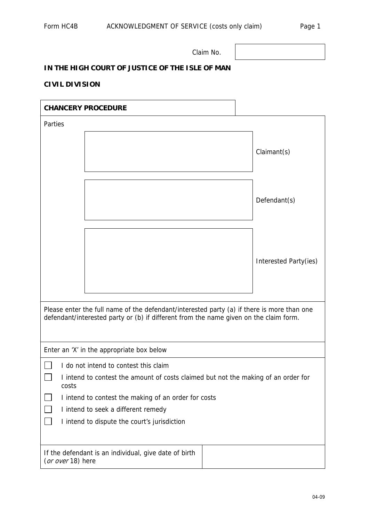Claim No.

## **IN THE HIGH COURT OF JUSTICE OF THE ISLE OF MAN**

## **CIVIL DIVISION**

| <b>CHANCERY PROCEDURE</b>                                                                                                                                                           |                       |  |
|-------------------------------------------------------------------------------------------------------------------------------------------------------------------------------------|-----------------------|--|
| Parties                                                                                                                                                                             |                       |  |
|                                                                                                                                                                                     | Claimant(s)           |  |
|                                                                                                                                                                                     | Defendant(s)          |  |
|                                                                                                                                                                                     | Interested Party(ies) |  |
| Please enter the full name of the defendant/interested party (a) if there is more than one<br>defendant/interested party or (b) if different from the name given on the claim form. |                       |  |
| Enter an 'X' in the appropriate box below                                                                                                                                           |                       |  |
| I do not intend to contest this claim<br>I intend to contest the amount of costs claimed but not the making of an order for<br>costs                                                |                       |  |
| I intend to contest the making of an order for costs                                                                                                                                |                       |  |
| I intend to seek a different remedy                                                                                                                                                 |                       |  |
| I intend to dispute the court's jurisdiction                                                                                                                                        |                       |  |
| If the defendant is an individual, give date of birth<br>(or over 18) here                                                                                                          |                       |  |